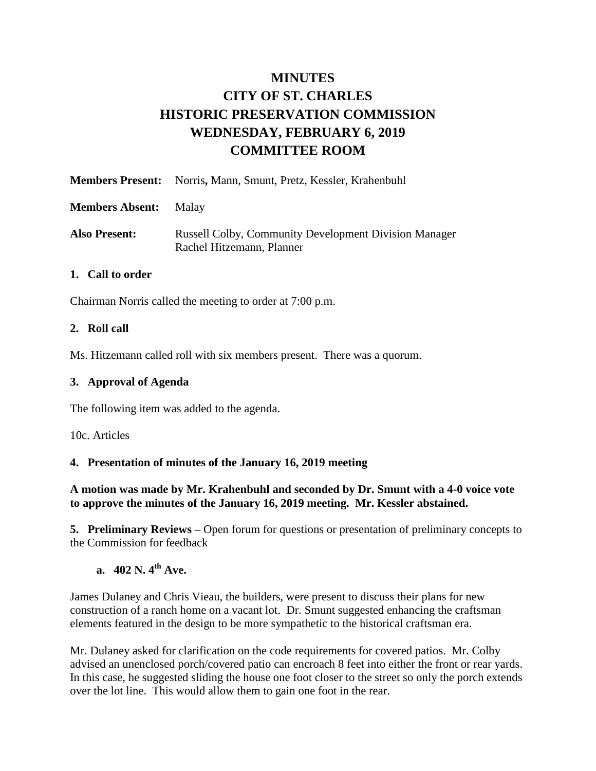# **MINUTES CITY OF ST. CHARLES HISTORIC PRESERVATION COMMISSION WEDNESDAY, FEBRUARY 6, 2019 COMMITTEE ROOM**

|                        | <b>Members Present:</b> Norris, Mann, Smunt, Pretz, Kessler, Krahenbuhl                   |
|------------------------|-------------------------------------------------------------------------------------------|
| <b>Members Absent:</b> | Malav                                                                                     |
| Also Present:          | <b>Russell Colby, Community Development Division Manager</b><br>Rachel Hitzemann, Planner |

#### **1. Call to order**

Chairman Norris called the meeting to order at 7:00 p.m.

#### **2. Roll call**

Ms. Hitzemann called roll with six members present. There was a quorum.

#### **3. Approval of Agenda**

The following item was added to the agenda.

10c. Articles

#### **4. Presentation of minutes of the January 16, 2019 meeting**

#### **A motion was made by Mr. Krahenbuhl and seconded by Dr. Smunt with a 4-0 voice vote to approve the minutes of the January 16, 2019 meeting. Mr. Kessler abstained.**

**5. Preliminary Reviews –** Open forum for questions or presentation of preliminary concepts to the Commission for feedback

# **a. 402 N. 4th Ave.**

James Dulaney and Chris Vieau, the builders, were present to discuss their plans for new construction of a ranch home on a vacant lot. Dr. Smunt suggested enhancing the craftsman elements featured in the design to be more sympathetic to the historical craftsman era.

Mr. Dulaney asked for clarification on the code requirements for covered patios. Mr. Colby advised an unenclosed porch/covered patio can encroach 8 feet into either the front or rear yards. In this case, he suggested sliding the house one foot closer to the street so only the porch extends over the lot line. This would allow them to gain one foot in the rear.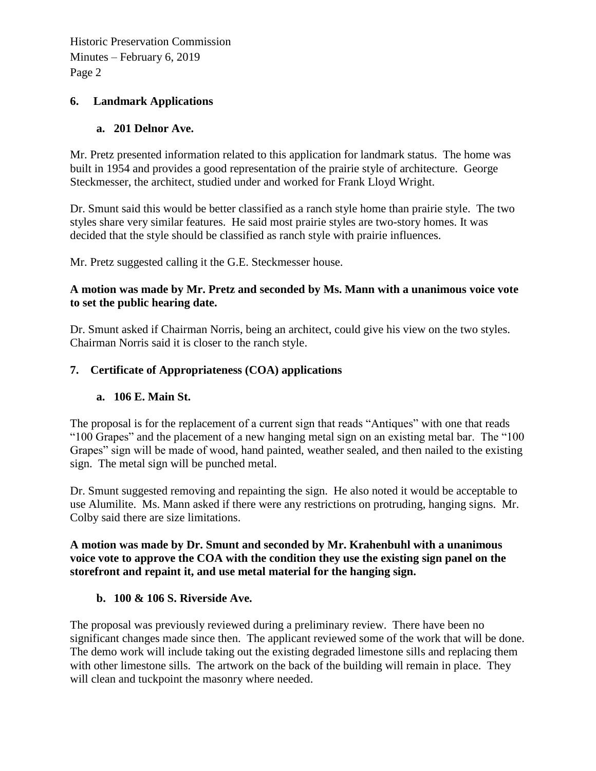Historic Preservation Commission Minutes – February 6, 2019 Page 2

## **6. Landmark Applications**

## **a. 201 Delnor Ave.**

Mr. Pretz presented information related to this application for landmark status. The home was built in 1954 and provides a good representation of the prairie style of architecture. George Steckmesser, the architect, studied under and worked for Frank Lloyd Wright.

Dr. Smunt said this would be better classified as a ranch style home than prairie style. The two styles share very similar features. He said most prairie styles are two-story homes. It was decided that the style should be classified as ranch style with prairie influences.

Mr. Pretz suggested calling it the G.E. Steckmesser house.

## **A motion was made by Mr. Pretz and seconded by Ms. Mann with a unanimous voice vote to set the public hearing date.**

Dr. Smunt asked if Chairman Norris, being an architect, could give his view on the two styles. Chairman Norris said it is closer to the ranch style.

## **7. Certificate of Appropriateness (COA) applications**

## **a. 106 E. Main St.**

The proposal is for the replacement of a current sign that reads "Antiques" with one that reads "100 Grapes" and the placement of a new hanging metal sign on an existing metal bar. The "100 Grapes" sign will be made of wood, hand painted, weather sealed, and then nailed to the existing sign. The metal sign will be punched metal.

Dr. Smunt suggested removing and repainting the sign. He also noted it would be acceptable to use Alumilite. Ms. Mann asked if there were any restrictions on protruding, hanging signs. Mr. Colby said there are size limitations.

## **A motion was made by Dr. Smunt and seconded by Mr. Krahenbuhl with a unanimous voice vote to approve the COA with the condition they use the existing sign panel on the storefront and repaint it, and use metal material for the hanging sign.**

## **b. 100 & 106 S. Riverside Ave.**

The proposal was previously reviewed during a preliminary review. There have been no significant changes made since then. The applicant reviewed some of the work that will be done. The demo work will include taking out the existing degraded limestone sills and replacing them with other limestone sills. The artwork on the back of the building will remain in place. They will clean and tuckpoint the masonry where needed.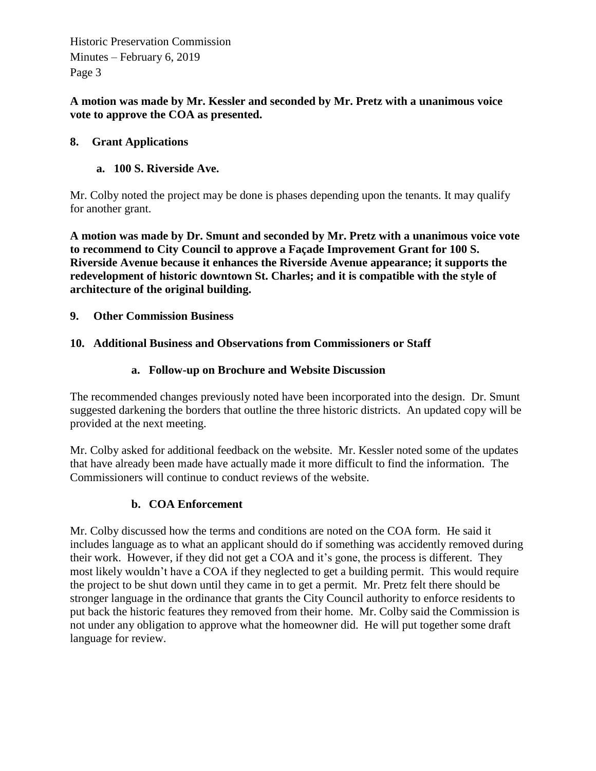Historic Preservation Commission Minutes – February 6, 2019 Page 3

**A motion was made by Mr. Kessler and seconded by Mr. Pretz with a unanimous voice vote to approve the COA as presented.** 

## **8. Grant Applications**

## **a. 100 S. Riverside Ave.**

Mr. Colby noted the project may be done is phases depending upon the tenants. It may qualify for another grant.

**A motion was made by Dr. Smunt and seconded by Mr. Pretz with a unanimous voice vote to recommend to City Council to approve a Façade Improvement Grant for 100 S. Riverside Avenue because it enhances the Riverside Avenue appearance; it supports the redevelopment of historic downtown St. Charles; and it is compatible with the style of architecture of the original building.** 

**9. Other Commission Business**

## **10. Additional Business and Observations from Commissioners or Staff**

## **a. Follow-up on Brochure and Website Discussion**

The recommended changes previously noted have been incorporated into the design. Dr. Smunt suggested darkening the borders that outline the three historic districts. An updated copy will be provided at the next meeting.

Mr. Colby asked for additional feedback on the website. Mr. Kessler noted some of the updates that have already been made have actually made it more difficult to find the information. The Commissioners will continue to conduct reviews of the website.

## **b. COA Enforcement**

Mr. Colby discussed how the terms and conditions are noted on the COA form. He said it includes language as to what an applicant should do if something was accidently removed during their work. However, if they did not get a COA and it's gone, the process is different. They most likely wouldn't have a COA if they neglected to get a building permit. This would require the project to be shut down until they came in to get a permit. Mr. Pretz felt there should be stronger language in the ordinance that grants the City Council authority to enforce residents to put back the historic features they removed from their home. Mr. Colby said the Commission is not under any obligation to approve what the homeowner did. He will put together some draft language for review.